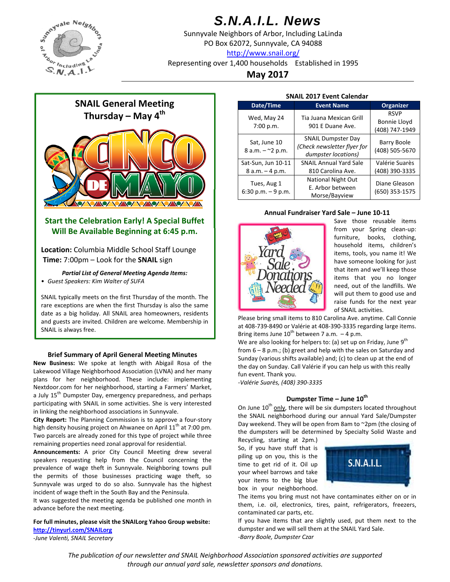

# *S.N.A.I.L. News*

Sunnyvale Neighbors of Arbor, Including LaLinda PO Box 62072, Sunnyvale, CA 94088 http://www.snail.org/

Representing over 1,400 households Established in 1995

**May 2017**



# **Start the Celebration Early! A Special Buffet Will Be Available Beginning at 6:45 p.m.**

**Location:** Columbia Middle School Staff Lounge **Time:** 7:00pm – Look for the **SNAIL** sign

*Partial List of General Meeting Agenda Items:*

• *Guest Speakers: Kim Walter of SUFA*

SNAIL typically meets on the first Thursday of the month. The rare exceptions are when the first Thursday is also the same date as a big holiday. All SNAIL area homeowners, residents and guests are invited. Children are welcome. Membership in SNAIL is always free.

### **Brief Summary of April General Meeting Minutes**

**New Business:** We spoke at length with Abigail Rosa of the Lakewood Village Neighborhood Association (LVNA) and her many plans for her neighborhood. These include: implementing Nextdoor.com for her neighborhood, starting a Farmers' Market, a July 15<sup>th</sup> Dumpster Day, emergency preparedness, and perhaps participating with SNAIL in some activities. She is very interested in linking the neighborhood associations in Sunnyvale.

**City Report:** The Planning Commission is to approve a four‐story high density housing project on Ahwanee on April  $11<sup>th</sup>$  at 7:00 pm. Two parcels are already zoned for this type of project while three remaining properties need zonal approval for residential.

**Announcements:** A prior City Council Meeting drew several speakers requesting help from the Council concerning the prevalence of wage theft in Sunnyvale. Neighboring towns pull the permits of those businesses practicing wage theft, so Sunnyvale was urged to do so also. Sunnyvale has the highest incident of wage theft in the South Bay and the Peninsula.

It was suggested the meeting agenda be published one month in advance before the next meeting.

**For full minutes, please visit the SNAILorg Yahoo Group website: http://tinyurl.com/SNAILorg**

*‐June Valenti, SNAIL Secretary*

| <b>SNAIL 2017 Event Calendar</b>         |                                                                                 |                                                      |  |
|------------------------------------------|---------------------------------------------------------------------------------|------------------------------------------------------|--|
| Date/Time                                | <b>Event Name</b>                                                               | Organizer                                            |  |
| Wed, May 24<br>7:00 p.m.                 | Tia Juana Mexican Grill<br>901 E Duane Ave.                                     | <b>RSVP</b><br><b>Bonnie Lloyd</b><br>(408) 747-1949 |  |
| Sat, June 10<br>8 a.m. $ ^{\sim}$ 2 p.m. | <b>SNAIL Dumpster Day</b><br>(Check newsletter flyer for<br>dumpster locations) | Barry Boole<br>(408) 505-5670                        |  |
| Sat-Sun, Jun 10-11                       | <b>SNAIL Annual Yard Sale</b>                                                   | Valérie Suarès                                       |  |
| $8 a.m. - 4 p.m.$                        | 810 Carolina Ave.                                                               | (408) 390-3335                                       |  |
| Tues, Aug 1<br>$6:30$ p.m. $-9$ p.m.     | <b>National Night Out</b><br>E. Arbor between<br>Morse/Bayview                  | Diane Gleason<br>(650) 353-1575                      |  |

#### **Annual Fundraiser Yard Sale – June 10‐11**



Save those reusable items from your Spring clean-up: furniture, books, clothing, household items, children's items, tools, you name it! We have someone looking for just that item and we'll keep those items that you no longer need, out of the landfills. We will put them to good use and raise funds for the next year of SNAIL activities.

Please bring small items to 810 Carolina Ave. anytime. Call Connie at 408‐739‐8490 or Valérie at 408‐390‐3335 regarding large items. Bring items June  $10^{th}$  between 7 a.m.  $-4$  p.m.

We are also looking for helpers to: (a) set up on Friday, June  $9<sup>th</sup>$ from 6 – 8 p.m.; (b) greet and help with the sales on Saturday and Sunday (various shifts available) and; (c) to clean up at the end of the day on Sunday. Call Valérie if you can help us with this really fun event. Thank you.

*‐Valérie Suarès, (408) 390‐3335*

## **Dumpster Time – June 10th**

On June  $10<sup>th</sup>$  only, there will be six dumpsters located throughout the SNAIL neighborhood during our annual Yard Sale/Dumpster Day weekend. They will be open from 8am to ~2pm (the closing of the dumpsters will be determined by Specialty Solid Waste and

Recycling, starting at 2pm.) So, if you have stuff that is piling up on you, this is the time to get rid of it. Oil up your wheel barrows and take your items to the big blue box in your neighborhood.



The items you bring must not have contaminates either on or in them, i.e. oil, electronics, tires, paint, refrigerators, freezers, contaminated car parts, etc.

If you have items that are slightly used, put them next to the dumpster and we will sell them at the SNAIL Yard Sale. *‐Barry Boole, Dumpster Czar*

*The publication of our newsletter and SNAIL Neighborhood Association sponsored activities are supported through our annual yard sale, newsletter sponsors and donations.*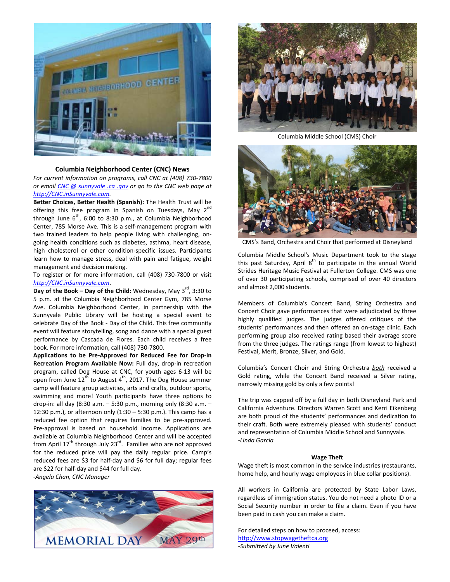

### **Columbia Neighborhood Center (CNC) News**

*For current information on programs, call CNC at (408) 730‐7800 or email CNC @ sunnyvale .ca .gov or go to the CNC web page at http://CNC.inSunnyvale.com.*

**Better Choices, Better Health (Spanish):** The Health Trust will be offering this free program in Spanish on Tuesdays, May  $2^{nc}$ through June  $6^{th}$ , 6:00 to 8:30 p.m., at Columbia Neighborhood Center, 785 Morse Ave. This is a self‐management program with two trained leaders to help people living with challenging, on‐ going health conditions such as diabetes, asthma, heart disease, high cholesterol or other condition‐specific issues. Participants learn how to manage stress, deal with pain and fatigue, weight management and decision making.

To register or for more information, call (408) 730‐7800 or visit *http://CNC.inSunnyvale.com*.

**Day** of the Book – Day of the Child: Wednesday, May 3<sup>rd</sup>, 3:30 to 5 p.m. at the Columbia Neighborhood Center Gym, 785 Morse Ave. Columbia Neighborhood Center, in partnership with the Sunnyvale Public Library will be hosting a special event to celebrate Day of the Book ‐ Day of the Child. This free community event will feature storytelling, song and dance with a special guest performance by Cascada de Flores. Each child receives a free book. For more information, call (408) 730‐7800.

**Applications to be Pre‐Approved for Reduced Fee for Drop‐In Recreation Program Available Now:** Full day, drop‐in recreation program, called Dog House at CNC, for youth ages 6‐13 will be open from June  $12^{t\overline{h}}$  to August  $4^{t\overline{h}}$ , 2017. The Dog House summer camp will feature group activities, arts and crafts, outdoor sports, swimming and more! Youth participants have three options to drop‐in: all day (8:30 a.m. – 5:30 p.m., morning only (8:30 a.m. – 12:30 p.m.), or afternoon only (1:30 – 5:30 p.m.). This camp has a reduced fee option that requires families to be pre‐approved. Pre‐approval is based on household income. Applications are available at Columbia Neighborhood Center and will be accepted from April  $17<sup>th</sup>$  through July 23<sup>rd</sup>. Families who are not approved for the reduced price will pay the daily regular price. Camp's reduced fees are \$3 for half‐day and \$6 for full day; regular fees are \$22 for half‐day and \$44 for full day.

‐*Angela Chan, CNC Manager*





Columbia Middle School (CMS) Choir



CMS's Band, Orchestra and Choir that performed at Disneyland

Columbia Middle School's Music Department took to the stage this past Saturday, April  $8<sup>th</sup>$  to participate in the annual World Strides Heritage Music Festival at Fullerton College. CMS was one of over 30 participating schools, comprised of over 40 directors and almost 2,000 students.

Members of Columbia's Concert Band, String Orchestra and Concert Choir gave performances that were adjudicated by three highly qualified judges. The judges offered critiques of the students' performances and then offered an on‐stage clinic. Each performing group also received rating based their average score from the three judges. The ratings range (from lowest to highest) Festival, Merit, Bronze, Silver, and Gold.

Columbia's Concert Choir and String Orchestra *both* received a Gold rating, while the Concert Band received a Silver rating, narrowly missing gold by only a few points!

The trip was capped off by a full day in both Disneyland Park and California Adventure. Directors Warren Scott and Kerri Eikenberg are both proud of the students' performances and dedication to their craft. Both were extremely pleased with students' conduct and representation of Columbia Middle School and Sunnyvale. *‐Linda Garcia*

#### **Wage Theft**

Wage theft is most common in the service industries (restaurants, home help, and hourly wage employees in blue collar positions).

All workers in California are protected by State Labor Laws, regardless of immigration status. You do not need a photo ID or a Social Security number in order to file a claim. Even if you have been paid in cash you can make a claim.

For detailed steps on how to proceed, access: http://www.stopwagetheftca.org *‐Submitted by June Valenti*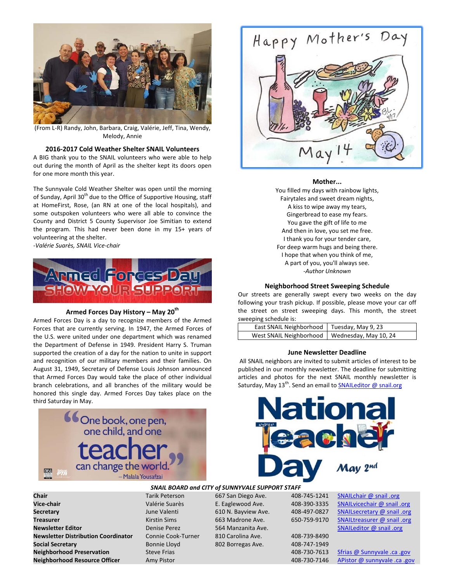

(From L‐R) Randy, John, Barbara, Craig, Valérie, Jeff, Tina, Wendy, Melody, Annie

### **2016‐2017 Cold Weather Shelter SNAIL Volunteers**

A BIG thank you to the SNAIL volunteers who were able to help out during the month of April as the shelter kept its doors open for one more month this year.

The Sunnyvale Cold Weather Shelter was open until the morning of Sunday, April 30<sup>th</sup> due to the Office of Supportive Housing, staff at HomeFirst, Rose, (an RN at one of the local hospitals), and some outspoken volunteers who were all able to convince the County and District 5 County Supervisor Joe Simitian to extend the program. This had never been done in my 15+ years of volunteering at the shelter.

*‐Valérie Suarès, SNAIL Vice‐chair*



## **Armed Forces Day History – May 20th**

Armed Forces Day is a day to recognize members of the Armed Forces that are currently serving. In 1947, the Armed Forces of the U.S. were united under one department which was renamed the Department of Defense in 1949. President Harry S. Truman supported the creation of a day for the nation to unite in support and recognition of our military members and their families. On August 31, 1949, Secretary of Defense Louis Johnson announced that Armed Forces Day would take the place of other individual branch celebrations, and all branches of the military would be honored this single day. Armed Forces Day takes place on the third Saturday in May.



**Vice‐chair** Valérie Suarès E. Eaglewood Ave. 408‐390‐3335 SNAILvicechair @ snail .org **Secretary** June Valenti 610 N. Bayview Ave. 408-497-0827 SNAILsecretary @ snail .org **Treasurer** Kirstin Sims 663 Madrone Ave. 650‐759‐9170 SNAILtreasurer @ snail .org **Newsletter Editor Denise Perez** 564 Manzanita Ave. SNAILeditor @ snail .org **Newsletter Distribution Coordinator** Connie Cook-Turner 810 Carolina Ave. **Social Secretary Bonnie Lloyd** 802 Borregas Ave. **Neighborhood Preservation** Steve Frias 30 and 308-730-7613 Sfrias @ Sunnyvale .ca .gov **Neighborhood Resource Officer** Amy Pistor **Amy Account 408-730-7146** APistor @ sunnyvale .ca .gov

# *SNAIL BOARD and CITY of SUNNYVALE SUPPORT STAFF*

| 408-743-1241 |
|--------------|
| 408-390-3335 |
| 408-497-0827 |
| 650-759-9170 |
|              |

| 408-739-8490 |
|--------------|
| 408-747-1949 |
| 408-730-7613 |
| 108-730-7116 |

**Chair** Tarik Peterson 667 San Diego Ave. 408‐745‐1241 SNAILchair @ snail .org



#### **Mother...**

You filled my days with rainbow lights, Fairytales and sweet dream nights, A kiss to wipe away my tears, Gingerbread to ease my fears. You gave the gift of life to me And then in love, you set me free. I thank you for your tender care, For deep warm hugs and being there. I hope that when you think of me, A part of you, you'll always see. *‐Author Unknown*

#### **Neighborhood Street Sweeping Schedule**

Our streets are generally swept every two weeks on the day following your trash pickup. If possible, please move your car off the street on street sweeping days. This month, the street sweeping schedule is:

| East SNAIL Neighborhood   Tuesday, May 9, 23    |  |
|-------------------------------------------------|--|
| West SNAIL Neighborhood   Wednesday, May 10, 24 |  |

#### **June Newsletter Deadline**

All SNAIL neighbors are invited to submit articles of interest to be published in our monthly newsletter. The deadline for submitting articles and photos for the next SNAIL monthly newsletter is Saturday, May 13<sup>th</sup>. Send an email to SNAILeditor @ snail.org